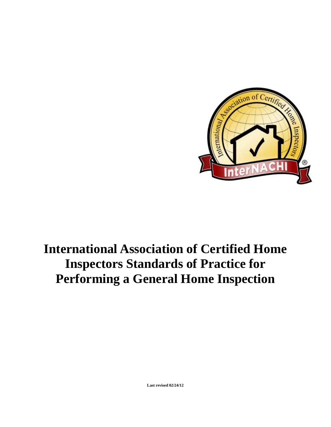

## **International Association of Certified Home Inspectors Standards of Practice for Performing a General Home Inspection**

**Last revised 02/24/12**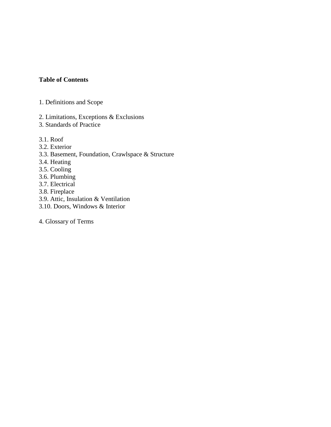## **Table of Contents**

- 1. Definitions and Scope
- 2. Limitations, Exceptions & Exclusions
- 3. Standards of Practice
- 3.1. Roof
- 3.2. Exterior
- 3.3. Basement, Foundation, Crawlspace & Structure
- 3.4. Heating
- 3.5. Cooling
- 3.6. Plumbing
- 3.7. Electrical
- 3.8. Fireplace
- 3.9. Attic, Insulation & Ventilation
- 3.10. Doors, Windows & Interior
- 4. Glossary of Terms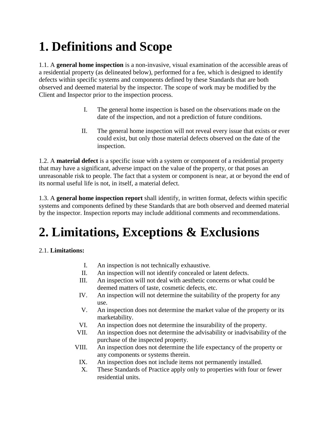# **1. Definitions and Scope**

1.1. A **general home inspection** is a non-invasive, visual examination of the accessible areas of a residential property (as delineated below), performed for a fee, which is designed to identify defects within specific systems and components defined by these Standards that are both observed and deemed material by the inspector. The scope of work may be modified by the Client and Inspector prior to the inspection process.

- I. The general home inspection is based on the observations made on the date of the inspection, and not a prediction of future conditions.
- II. The general home inspection will not reveal every issue that exists or ever could exist, but only those material defects observed on the date of the inspection.

1.2. A **material defect** is a specific issue with a system or component of a residential property that may have a significant, adverse impact on the value of the property, or that poses an unreasonable risk to people. The fact that a system or component is near, at or beyond the end of its normal useful life is not, in itself, a material defect.

1.3. A **general home inspection report** shall identify, in written format, defects within specific systems and components defined by these Standards that are both observed and deemed material by the inspector. Inspection reports may include additional comments and recommendations.

# **2. Limitations, Exceptions & Exclusions**

## 2.1. **Limitations:**

- I. An inspection is not technically exhaustive.
- II. An inspection will not identify concealed or latent defects.
- III. An inspection will not deal with aesthetic concerns or what could be deemed matters of taste, cosmetic defects, etc.
- IV. An inspection will not determine the suitability of the property for any use.
- V. An inspection does not determine the market value of the property or its marketability.
- VI. An inspection does not determine the insurability of the property.
- VII. An inspection does not determine the advisability or inadvisability of the purchase of the inspected property.
- VIII. An inspection does not determine the life expectancy of the property or any components or systems therein.
- IX. An inspection does not include items not permanently installed.
- X. These Standards of Practice apply only to properties with four or fewer residential units.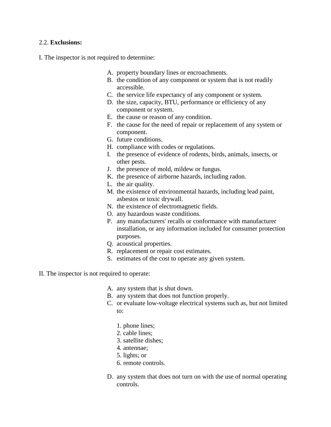### 2.2. **Exclusions:**

I. The inspector is not required to determine:

- A. property boundary lines or encroachments.
- B. the condition of any component or system that is not readily accessible.
- C. the service life expectancy of any component or system.
- D. the size, capacity, BTU, performance or efficiency of any component or system.
- E. the cause or reason of any condition.
- F. the cause for the need of repair or replacement of any system or component.
- G. future conditions.
- H. compliance with codes or regulations.
- I. the presence of evidence of rodents, birds, animals, insects, or other pests.
- J. the presence of mold, mildew or fungus.
- K. the presence of airborne hazards, including radon.
- L. the air quality.
- M. the existence of environmental hazards, including lead paint, asbestos or toxic drywall.
- N. the existence of electromagnetic fields.
- O. any hazardous waste conditions.
- P. any manufacturers' recalls or conformance with manufacturer installation, or any information included for consumer protection purposes.
- Q. acoustical properties.
- R. replacement or repair cost estimates.
- S. estimates of the cost to operate any given system.
- II. The inspector is not required to operate:
	- A. any system that is shut down.
	- B. any system that does not function properly.
	- C. or evaluate low-voltage electrical systems such as, but not limited to:
		- 1. phone lines;
		- 2. cable lines;
		- 3. satellite dishes;
		- 4. antennae;
		- 5. lights; or
		- 6. remote controls.
	- D. any system that does not turn on with the use of normal operating controls.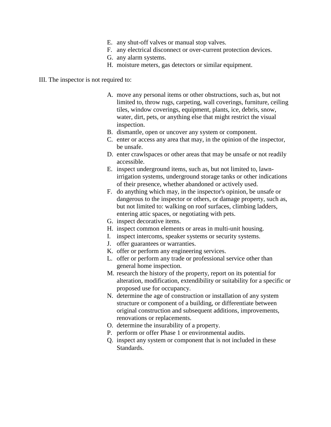- E. any shut-off valves or manual stop valves.
- F. any electrical disconnect or over-current protection devices.
- G. any alarm systems.
- H. moisture meters, gas detectors or similar equipment.

### III. The inspector is not required to:

- A. move any personal items or other obstructions, such as, but not limited to, throw rugs, carpeting, wall coverings, furniture, ceiling tiles, window coverings, equipment, plants, ice, debris, snow, water, dirt, pets, or anything else that might restrict the visual inspection.
- B. dismantle, open or uncover any system or component.
- C. enter or access any area that may, in the opinion of the inspector, be unsafe.
- D. enter crawlspaces or other areas that may be unsafe or not readily accessible.
- E. inspect underground items, such as, but not limited to, lawnirrigation systems, underground storage tanks or other indications of their presence, whether abandoned or actively used.
- F. do anything which may, in the inspector's opinion, be unsafe or dangerous to the inspector or others, or damage property, such as, but not limited to: walking on roof surfaces, climbing ladders, entering attic spaces, or negotiating with pets.
- G. inspect decorative items.
- H. inspect common elements or areas in multi-unit housing.
- I. inspect intercoms, speaker systems or security systems.
- J. offer guarantees or warranties.
- K. offer or perform any engineering services.
- L. offer or perform any trade or professional service other than general home inspection.
- M. research the history of the property, report on its potential for alteration, modification, extendibility or suitability for a specific or proposed use for occupancy.
- N. determine the age of construction or installation of any system structure or component of a building, or differentiate between original construction and subsequent additions, improvements, renovations or replacements.
- O. determine the insurability of a property.
- P. perform or offer Phase 1 or environmental audits.
- Q. inspect any system or component that is not included in these Standards.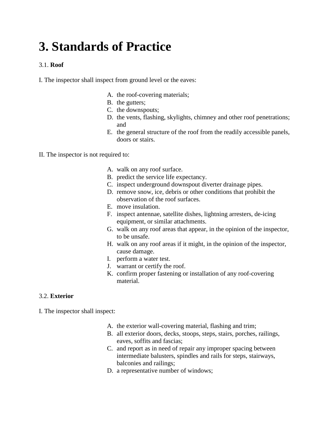## **3. Standards of Practice**

## 3.1. **Roof**

I. The inspector shall inspect from ground level or the eaves:

- A. the roof-covering materials;
- B. the gutters;
- C. the downspouts;
- D. the vents, flashing, skylights, chimney and other roof penetrations; and
- E. the general structure of the roof from the readily accessible panels, doors or stairs.
- II. The inspector is not required to:
	- A. walk on any roof surface.
	- B. predict the service life expectancy.
	- C. inspect underground downspout diverter drainage pipes.
	- D. remove snow, ice, debris or other conditions that prohibit the observation of the roof surfaces.
	- E. move insulation.
	- F. inspect antennae, satellite dishes, lightning arresters, de-icing equipment, or similar attachments.
	- G. walk on any roof areas that appear, in the opinion of the inspector, to be unsafe.
	- H. walk on any roof areas if it might, in the opinion of the inspector, cause damage.
	- I. perform a water test.
	- J. warrant or certify the roof.
	- K. confirm proper fastening or installation of any roof-covering material.

## 3.2. **Exterior**

I. The inspector shall inspect:

- A. the exterior wall-covering material, flashing and trim;
- B. all exterior doors, decks, stoops, steps, stairs, porches, railings, eaves, soffits and fascias;
- C. and report as in need of repair any improper spacing between intermediate balusters, spindles and rails for steps, stairways, balconies and railings;
- D. a representative number of windows;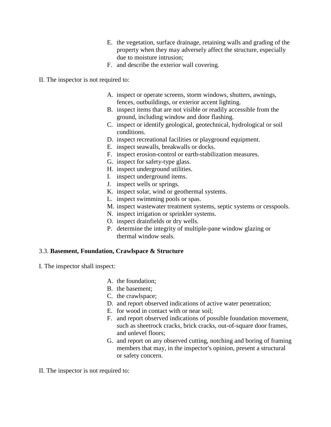- E. the vegetation, surface drainage, retaining walls and grading of the property when they may adversely affect the structure, especially due to moisture intrusion;
- F. and describe the exterior wall covering.
- II. The inspector is not required to:
	- A. inspect or operate screens, storm windows, shutters, awnings, fences, outbuildings, or exterior accent lighting.
	- B. inspect items that are not visible or readily accessible from the ground, including window and door flashing.
	- C. inspect or identify geological, geotechnical, hydrological or soil conditions.
	- D. inspect recreational facilities or playground equipment.
	- E. inspect seawalls, breakwalls or docks.
	- F. inspect erosion-control or earth-stabilization measures.
	- G. inspect for safety-type glass.
	- H. inspect underground utilities.
	- I. inspect underground items.
	- J. inspect wells or springs.
	- K. inspect solar, wind or geothermal systems.
	- L. inspect swimming pools or spas.
	- M. inspect wastewater treatment systems, septic systems or cesspools.
	- N. inspect irrigation or sprinkler systems.
	- O. inspect drainfields or dry wells.
	- P. determine the integrity of multiple-pane window glazing or thermal window seals.

## 3.3. **Basement, Foundation, Crawlspace & Structure**

- I. The inspector shall inspect:
	- A. the foundation;
	- B. the basement;
	- C. the crawlspace;
	- D. and report observed indications of active water penetration;
	- E. for wood in contact with or near soil;
	- F. and report observed indications of possible foundation movement, such as sheetrock cracks, brick cracks, out-of-square door frames, and unlevel floors;
	- G. and report on any observed cutting, notching and boring of framing members that may, in the inspector's opinion, present a structural or safety concern.
- II. The inspector is not required to: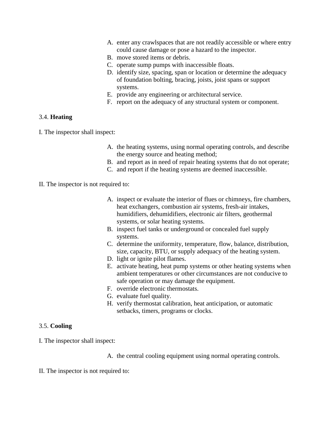- A. enter any crawlspaces that are not readily accessible or where entry could cause damage or pose a hazard to the inspector.
- B. move stored items or debris.
- C. operate sump pumps with inaccessible floats.
- D. identify size, spacing, span or location or determine the adequacy of foundation bolting, bracing, joists, joist spans or support systems.
- E. provide any engineering or architectural service.
- F. report on the adequacy of any structural system or component.

### 3.4. **Heating**

I. The inspector shall inspect:

- A. the heating systems, using normal operating controls, and describe the energy source and heating method;
- B. and report as in need of repair heating systems that do not operate;
- C. and report if the heating systems are deemed inaccessible.
- II. The inspector is not required to:
	- A. inspect or evaluate the interior of flues or chimneys, fire chambers, heat exchangers, combustion air systems, fresh-air intakes, humidifiers, dehumidifiers, electronic air filters, geothermal systems, or solar heating systems.
	- B. inspect fuel tanks or underground or concealed fuel supply systems.
	- C. determine the uniformity, temperature, flow, balance, distribution, size, capacity, BTU, or supply adequacy of the heating system.
	- D. light or ignite pilot flames.
	- E. activate heating, heat pump systems or other heating systems when ambient temperatures or other circumstances are not conducive to safe operation or may damage the equipment.
	- F. override electronic thermostats.
	- G. evaluate fuel quality.
	- H. verify thermostat calibration, heat anticipation, or automatic setbacks, timers, programs or clocks.

## 3.5. **Cooling**

I. The inspector shall inspect:

A. the central cooling equipment using normal operating controls.

II. The inspector is not required to: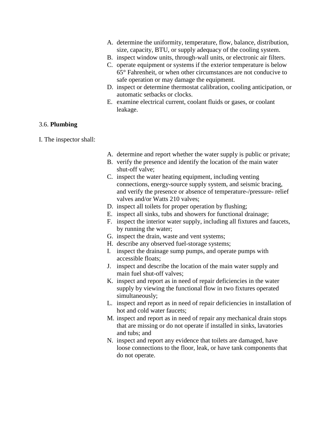- A. determine the uniformity, temperature, flow, balance, distribution, size, capacity, BTU, or supply adequacy of the cooling system.
- B. inspect window units, through-wall units, or electronic air filters.
- C. operate equipment or systems if the exterior temperature is below 65° Fahrenheit, or when other circumstances are not conducive to safe operation or may damage the equipment.
- D. inspect or determine thermostat calibration, cooling anticipation, or automatic setbacks or clocks.
- E. examine electrical current, coolant fluids or gases, or coolant leakage.

### 3.6. **Plumbing**

I. The inspector shall:

- A. determine and report whether the water supply is public or private;
- B. verify the presence and identify the location of the main water shut-off valve;
- C. inspect the water heating equipment, including venting connections, energy-source supply system, and seismic bracing, and verify the presence or absence of temperature-/pressure- relief valves and/or Watts 210 valves;
- D. inspect all toilets for proper operation by flushing;
- E. inspect all sinks, tubs and showers for functional drainage;
- F. inspect the interior water supply, including all fixtures and faucets, by running the water;
- G. inspect the drain, waste and vent systems;
- H. describe any observed fuel-storage systems;
- I. inspect the drainage sump pumps, and operate pumps with accessible floats;
- J. inspect and describe the location of the main water supply and main fuel shut-off valves;
- K. inspect and report as in need of repair deficiencies in the water supply by viewing the functional flow in two fixtures operated simultaneously;
- L. inspect and report as in need of repair deficiencies in installation of hot and cold water faucets;
- M. inspect and report as in need of repair any mechanical drain stops that are missing or do not operate if installed in sinks, lavatories and tubs; and
- N. inspect and report any evidence that toilets are damaged, have loose connections to the floor, leak, or have tank components that do not operate.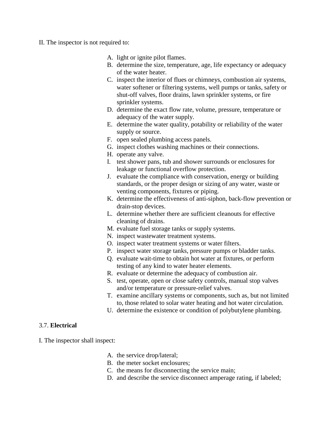- II. The inspector is not required to:
	- A. light or ignite pilot flames.
	- B. determine the size, temperature, age, life expectancy or adequacy of the water heater.
	- C. inspect the interior of flues or chimneys, combustion air systems, water softener or filtering systems, well pumps or tanks, safety or shut-off valves, floor drains, lawn sprinkler systems, or fire sprinkler systems.
	- D. determine the exact flow rate, volume, pressure, temperature or adequacy of the water supply.
	- E. determine the water quality, potability or reliability of the water supply or source.
	- F. open sealed plumbing access panels.
	- G. inspect clothes washing machines or their connections.
	- H. operate any valve.
	- I. test shower pans, tub and shower surrounds or enclosures for leakage or functional overflow protection.
	- J. evaluate the compliance with conservation, energy or building standards, or the proper design or sizing of any water, waste or venting components, fixtures or piping.
	- K. determine the effectiveness of anti-siphon, back-flow prevention or drain-stop devices.
	- L. determine whether there are sufficient cleanouts for effective cleaning of drains.
	- M. evaluate fuel storage tanks or supply systems.
	- N. inspect wastewater treatment systems.
	- O. inspect water treatment systems or water filters.
	- P. inspect water storage tanks, pressure pumps or bladder tanks.
	- Q. evaluate wait-time to obtain hot water at fixtures, or perform testing of any kind to water heater elements.
	- R. evaluate or determine the adequacy of combustion air.
	- S. test, operate, open or close safety controls, manual stop valves and/or temperature or pressure-relief valves.
	- T. examine ancillary systems or components, such as, but not limited to, those related to solar water heating and hot water circulation.
	- U. determine the existence or condition of polybutylene plumbing.

#### 3.7. **Electrical**

I. The inspector shall inspect:

- A. the service drop/lateral;
- B. the meter socket enclosures;
- C. the means for disconnecting the service main;
- D. and describe the service disconnect amperage rating, if labeled;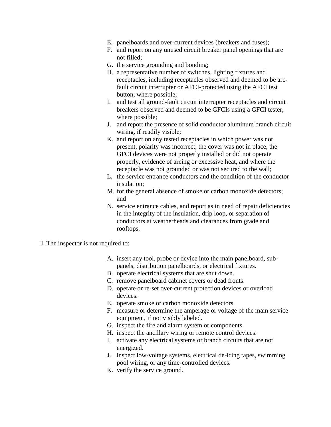- E. panelboards and over-current devices (breakers and fuses);
- F. and report on any unused circuit breaker panel openings that are not filled;
- G. the service grounding and bonding;
- H. a representative number of switches, lighting fixtures and receptacles, including receptacles observed and deemed to be arcfault circuit interrupter or AFCI-protected using the AFCI test button, where possible;
- I. and test all ground-fault circuit interrupter receptacles and circuit breakers observed and deemed to be GFCIs using a GFCI tester, where possible;
- J. and report the presence of solid conductor aluminum branch circuit wiring, if readily visible;
- K. and report on any tested receptacles in which power was not present, polarity was incorrect, the cover was not in place, the GFCI devices were not properly installed or did not operate properly, evidence of arcing or excessive heat, and where the receptacle was not grounded or was not secured to the wall;
- L. the service entrance conductors and the condition of the conductor insulation;
- M. for the general absence of smoke or carbon monoxide detectors; and
- N. service entrance cables, and report as in need of repair deficiencies in the integrity of the insulation, drip loop, or separation of conductors at weatherheads and clearances from grade and rooftops.
- II. The inspector is not required to:
	- A. insert any tool, probe or device into the main panelboard, subpanels, distribution panelboards, or electrical fixtures.
	- B. operate electrical systems that are shut down.
	- C. remove panelboard cabinet covers or dead fronts.
	- D. operate or re-set over-current protection devices or overload devices.
	- E. operate smoke or carbon monoxide detectors.
	- F. measure or determine the amperage or voltage of the main service equipment, if not visibly labeled.
	- G. inspect the fire and alarm system or components.
	- H. inspect the ancillary wiring or remote control devices.
	- I. activate any electrical systems or branch circuits that are not energized.
	- J. inspect low-voltage systems, electrical de-icing tapes, swimming pool wiring, or any time-controlled devices.
	- K. verify the service ground.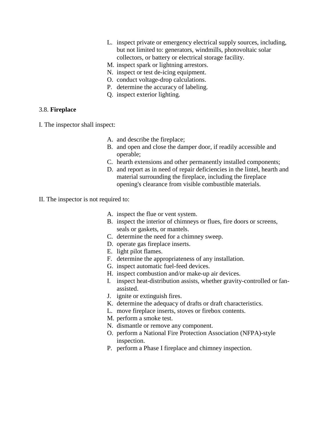- L. inspect private or emergency electrical supply sources, including, but not limited to: generators, windmills, photovoltaic solar collectors, or battery or electrical storage facility.
- M. inspect spark or lightning arrestors.
- N. inspect or test de-icing equipment.
- O. conduct voltage-drop calculations.
- P. determine the accuracy of labeling.
- Q. inspect exterior lighting.

## 3.8. **Fireplace**

- I. The inspector shall inspect:
	- A. and describe the fireplace;
	- B. and open and close the damper door, if readily accessible and operable;
	- C. hearth extensions and other permanently installed components;
	- D. and report as in need of repair deficiencies in the lintel, hearth and material surrounding the fireplace, including the fireplace opening's clearance from visible combustible materials.
- II. The inspector is not required to:
	- A. inspect the flue or vent system.
	- B. inspect the interior of chimneys or flues, fire doors or screens, seals or gaskets, or mantels.
	- C. determine the need for a chimney sweep.
	- D. operate gas fireplace inserts.
	- E. light pilot flames.
	- F. determine the appropriateness of any installation.
	- G. inspect automatic fuel-feed devices.
	- H. inspect combustion and/or make-up air devices.
	- I. inspect heat-distribution assists, whether gravity-controlled or fanassisted.
	- J. ignite or extinguish fires.
	- K. determine the adequacy of drafts or draft characteristics.
	- L. move fireplace inserts, stoves or firebox contents.
	- M. perform a smoke test.
	- N. dismantle or remove any component.
	- O. perform a National Fire Protection Association (NFPA)-style inspection.
	- P. perform a Phase I fireplace and chimney inspection.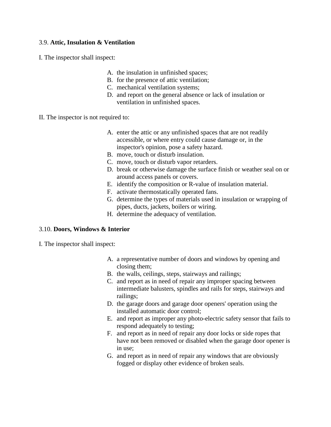## 3.9. **Attic, Insulation & Ventilation**

I. The inspector shall inspect:

- A. the insulation in unfinished spaces;
- B. for the presence of attic ventilation;
- C. mechanical ventilation systems;
- D. and report on the general absence or lack of insulation or ventilation in unfinished spaces.
- II. The inspector is not required to:
	- A. enter the attic or any unfinished spaces that are not readily accessible, or where entry could cause damage or, in the inspector's opinion, pose a safety hazard.
	- B. move, touch or disturb insulation.
	- C. move, touch or disturb vapor retarders.
	- D. break or otherwise damage the surface finish or weather seal on or around access panels or covers.
	- E. identify the composition or R-value of insulation material.
	- F. activate thermostatically operated fans.
	- G. determine the types of materials used in insulation or wrapping of pipes, ducts, jackets, boilers or wiring.
	- H. determine the adequacy of ventilation.

#### 3.10. **Doors, Windows & Interior**

- I. The inspector shall inspect:
	- A. a representative number of doors and windows by opening and closing them;
	- B. the walls, ceilings, steps, stairways and railings;
	- C. and report as in need of repair any improper spacing between intermediate balusters, spindles and rails for steps, stairways and railings;
	- D. the garage doors and garage door openers' operation using the installed automatic door control;
	- E. and report as improper any photo-electric safety sensor that fails to respond adequately to testing;
	- F. and report as in need of repair any door locks or side ropes that have not been removed or disabled when the garage door opener is in use;
	- G. and report as in need of repair any windows that are obviously fogged or display other evidence of broken seals.